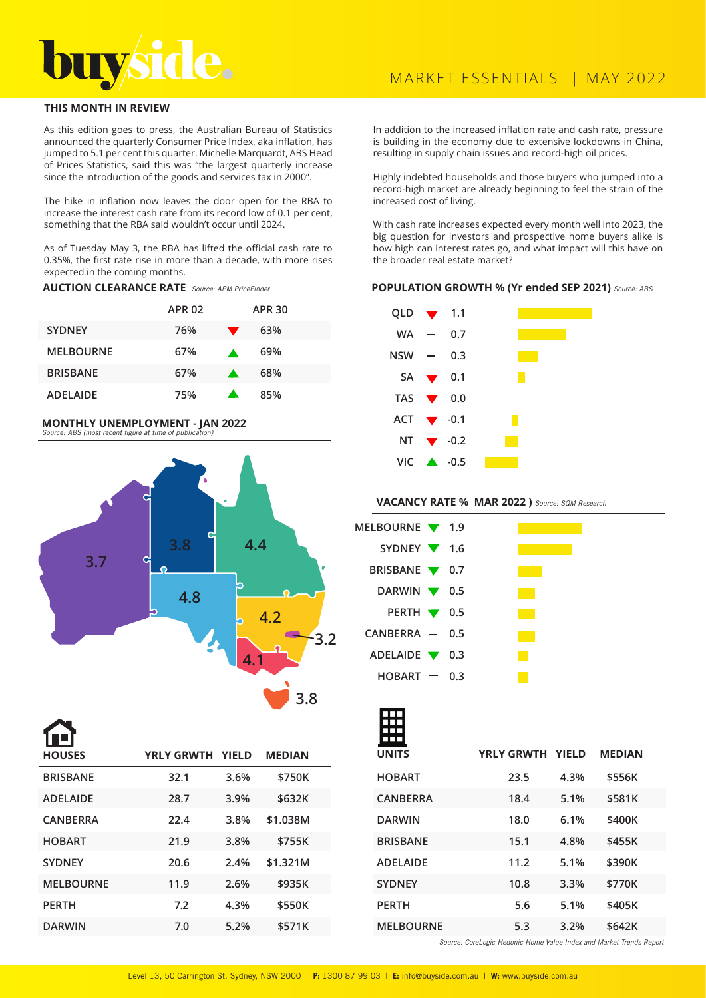

# **THIS MONTH IN REVIEW**

As this edition goes to press, the Australian Bureau of Statistics announced the quarterly Consumer Price Index, aka inflation, has jumped to 5.1 per cent this quarter. Michelle Marquardt, ABS Head of Prices Statistics, said this was "the largest quarterly increase since the introduction of the goods and services tax in 2000".

The hike in inflation now leaves the door open for the RBA to increase the interest cash rate from its record low of 0.1 per cent, something that the RBA said wouldn't occur until 2024.

As of Tuesday May 3, the RBA has lifted the official cash rate to 0.35%, the first rate rise in more than a decade, with more rises expected in the coming months.

**AUCTION CLEARANCE RATE** Source: APM PriceFinder

|                  | <b>APR 02</b> |                  | <b>APR 30</b> |
|------------------|---------------|------------------|---------------|
| <b>SYDNEY</b>    | 76%           |                  | 63%           |
| <b>MELBOURNE</b> | 67%           | $\blacktriangle$ | 69%           |
| <b>BRISBANE</b>  | 67%           | a.               | 68%           |
| <b>ADELAIDE</b>  | 75%           |                  | 85%           |

# **MONTHLY UNEMPLOYMENT - JAN 2022**



**BRISBANE 32.1 3.6% \$750K ADELAIDE 28.7 3.9% \$632K CANBERRA 22.4 3.8% \$1.038M HOBART 21.9 3.8% \$755K SYDNEY 20.6 2.4% \$1.321M MELBOURNE 11.9 2.6% \$935K PERTH 7.2 4.3% \$550K DARWIN 7.0 5.2% \$571K HOUSES YRLY GRWTH YIELD MEDIAN**

In addition to the increased inflation rate and cash rate, pressure is building in the economy due to extensive lockdowns in China, resulting in supply chain issues and record-high oil prices.

Highly indebted households and those buyers who jumped into a record-high market are already beginning to feel the strain of the increased cost of living.

With cash rate increases expected every month well into 2023, the big question for investors and prospective home buyers alike is how high can interest rates go, and what impact will this have on the broader real estate market?

#### **POPULATION GROWTH % (Yr ended SEP 2021)** Source: ABS

| QLD $\blacktriangledown$ 1.1  |                              |  |
|-------------------------------|------------------------------|--|
| WA —                          | 0.7                          |  |
| NSW —                         | 0.3                          |  |
|                               | $SA \rightarrow 0.1$         |  |
| TAS $\bullet$ 0.0             |                              |  |
| ACT $\blacktriangledown$ -0.1 |                              |  |
|                               | NT $\blacktriangledown$ -0.2 |  |
|                               | $VIC \rightarrow 0.5$        |  |

### **VACANCY RATE % MAR 2022 )** Source: SQM Research

| MELBOURNE 1.9                     |  |  |
|-----------------------------------|--|--|
| SYDNEY $\blacktriangledown$ 1.6   |  |  |
| BRISBANE <b>V</b> 0.7             |  |  |
| DARWIN $\blacktriangledown$ 0.5   |  |  |
| PERTH $\blacktriangledown$ 0.5    |  |  |
| $CANBERRA$ - 0.5                  |  |  |
| ADELAIDE $\blacktriangledown$ 0.3 |  |  |
| $HOBART = 0.3$                    |  |  |

| <b>UNITS</b>     | YRLY GRWTH YIELD |      | <b>MEDIAN</b> |  |
|------------------|------------------|------|---------------|--|
| <b>HOBART</b>    | 23.5             | 4.3% | \$556K        |  |
| <b>CANBERRA</b>  | 18.4             | 5.1% | \$581K        |  |
| <b>DARWIN</b>    | 18.0             | 6.1% | \$400K        |  |
| <b>BRISBANE</b>  | 15.1             | 4.8% | \$455K        |  |
| <b>ADELAIDE</b>  | 11.2             | 5.1% | \$390K        |  |
| <b>SYDNEY</b>    | 10.8             | 3.3% | \$770K        |  |
| <b>PERTH</b>     | 5.6              | 5.1% | \$405K        |  |
| <b>MELBOURNE</b> | 5.3              | 3.2% | \$642K        |  |

Source: CoreLogic Hedonic Home Value Index and Market Trends Report